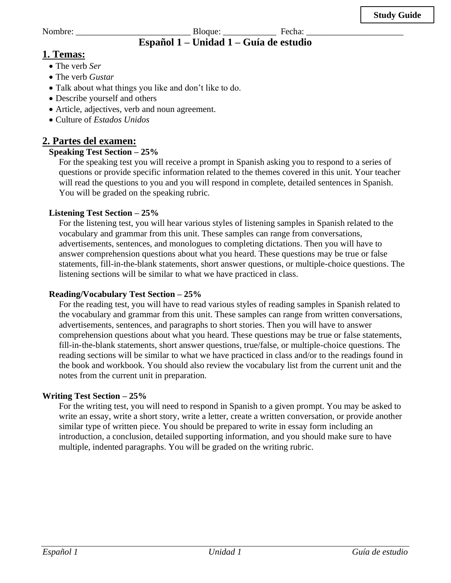Nombre: \_\_\_\_\_\_\_\_\_\_\_\_\_\_\_\_\_\_\_\_\_\_\_\_\_\_ Bloque: \_\_\_\_\_\_\_\_\_\_\_\_ Fecha: \_\_\_\_\_\_\_\_\_\_\_\_\_\_\_\_\_\_\_\_\_\_

# **Español 1 – Unidad 1 – Guía de estudio**

# **1. Temas:**

- The verb *Ser*
- The verb *Gustar*
- Talk about what things you like and don't like to do.
- Describe yourself and others
- Article, adjectives, verb and noun agreement.
- Culture of *Estados Unidos*

# **2. Partes del examen:**

# **Speaking Test Section – 25%**

For the speaking test you will receive a prompt in Spanish asking you to respond to a series of questions or provide specific information related to the themes covered in this unit. Your teacher will read the questions to you and you will respond in complete, detailed sentences in Spanish. You will be graded on the speaking rubric.

### **Listening Test Section – 25%**

For the listening test, you will hear various styles of listening samples in Spanish related to the vocabulary and grammar from this unit. These samples can range from conversations, advertisements, sentences, and monologues to completing dictations. Then you will have to answer comprehension questions about what you heard. These questions may be true or false statements, fill-in-the-blank statements, short answer questions, or multiple-choice questions. The listening sections will be similar to what we have practiced in class.

#### **Reading/Vocabulary Test Section – 25%**

For the reading test, you will have to read various styles of reading samples in Spanish related to the vocabulary and grammar from this unit. These samples can range from written conversations, advertisements, sentences, and paragraphs to short stories. Then you will have to answer comprehension questions about what you heard. These questions may be true or false statements, fill-in-the-blank statements, short answer questions, true/false, or multiple-choice questions. The reading sections will be similar to what we have practiced in class and/or to the readings found in the book and workbook. You should also review the vocabulary list from the current unit and the notes from the current unit in preparation.

#### **Writing Test Section – 25%**

For the writing test, you will need to respond in Spanish to a given prompt. You may be asked to write an essay, write a short story, write a letter, create a written conversation, or provide another similar type of written piece. You should be prepared to write in essay form including an introduction, a conclusion, detailed supporting information, and you should make sure to have multiple, indented paragraphs. You will be graded on the writing rubric.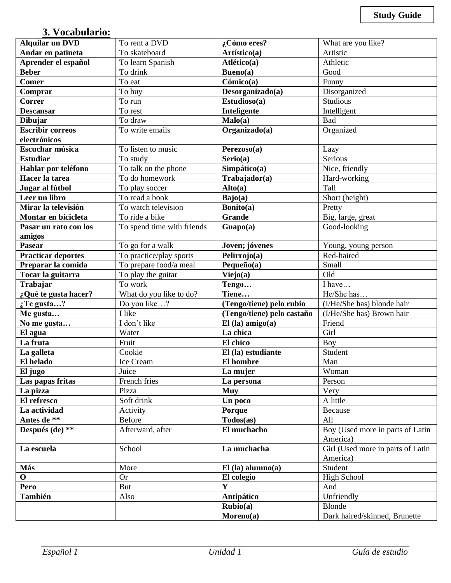# **3. Vocabulario:**

| <b>Alquilar un DVD</b>    | To rent a DVD              | ¿Cómo eres?                | What are you like?                           |  |
|---------------------------|----------------------------|----------------------------|----------------------------------------------|--|
| Andar en patineta         | To skateboard              | Artístico(a)               | Artistic                                     |  |
| Aprender el español       | To learn Spanish           | Atlético(a)                | Athletic                                     |  |
| <b>Beber</b>              | To drink                   | Bueno(a)                   | Good                                         |  |
| <b>Comer</b>              | To eat                     | Cómico(a)                  | Funny                                        |  |
| Comprar                   | To buy                     | Desorganizado(a)           | Disorganized                                 |  |
| Correr                    | To run                     | Estudioso(a)               | Studious                                     |  |
| <b>Descansar</b>          | To rest                    | Inteligente                | Intelligent                                  |  |
| Dibujar                   | To draw                    | Malo(a)                    | Bad                                          |  |
| <b>Escribir correos</b>   | To write emails            | Organizado(a)              | Organized                                    |  |
| electrónicos              |                            |                            |                                              |  |
| Escuchar música           | To listen to music         | Perezoso(a)                | Lazy                                         |  |
| <b>Estudiar</b>           | To study                   | Serio(a)                   | Serious                                      |  |
| Hablar por teléfono       | To talk on the phone       | Simpático(a)               | Nice, friendly                               |  |
| Hacer la tarea            | To do homework             | Trabajador(a)              | Hard-working                                 |  |
| Jugar al fútbol           | To play soccer             | Alto(a)                    | Tall                                         |  |
| Leer un libro             | To read a book             | Bajo(a)                    | Short (height)                               |  |
| Mirar la televisión       | To watch television        | Bonito(a)                  | Pretty                                       |  |
| Montar en bicicleta       | To ride a bike             | <b>Grande</b>              | Big, large, great                            |  |
| Pasar un rato con los     | To spend time with friends | Guapo(a)                   | Good-looking                                 |  |
| amigos                    |                            |                            |                                              |  |
| Pasear                    | To go for a walk           | Joven; jóvenes             | Young, young person                          |  |
| <b>Practicar deportes</b> | To practice/play sports    | Pelirrojo(a)               | Red-haired                                   |  |
| Preparar la comida        | To prepare food/a meal     | Pequeño(a)                 | Small                                        |  |
| Tocar la guitarra         | To play the guitar         | Viejo(a)                   | Old                                          |  |
| Trabajar                  | To work                    | Tengo                      | I have                                       |  |
| ¿Qué te gusta hacer?      | What do you like to do?    | Tiene                      | He/She has                                   |  |
| $:$ Te gusta?             | Do you like?               | (Tengo/tiene) pelo rubio   | (I/He/She has) blonde hair                   |  |
| Me gusta                  | I like                     | (Tengo/tiene) pelo castaño | (I/He/She has) Brown hair                    |  |
| No me gusta               | I don't like               | $El$ (la) amigo(a)         | Friend                                       |  |
| El agua                   | Water                      | La chica                   | Girl                                         |  |
| La fruta                  | Fruit                      | El chico                   | Boy                                          |  |
| La galleta                | Cookie                     | El (la) estudiante         | Student                                      |  |
| El helado                 | Ice Cream                  | El hombre                  | Man                                          |  |
| El jugo                   | Juice                      | La mujer                   | Woman                                        |  |
| Las papas fritas          | French fries               | La persona                 | Person                                       |  |
| La pizza                  | Pizza                      | <b>Muy</b>                 | Very                                         |  |
| El refresco               | Soft drink                 | Un poco                    | A little                                     |  |
| La actividad              | Activity                   | Porque                     | Because                                      |  |
| Antes de **               | Before                     | Todos(as)                  | All                                          |  |
| Después (de) **           | Afterward, after           | El muchacho                | Boy (Used more in parts of Latin<br>America) |  |
| La escuela                | School                     | La muchacha                | Girl (Used more in parts of Latin            |  |
|                           |                            |                            | America)                                     |  |
| Más                       | More                       | $El$ (la) alumno(a)        | Student                                      |  |
| $\mathbf 0$               | <b>Or</b>                  | El colegio                 | <b>High School</b>                           |  |
| Pero                      | But                        | $\mathbf{Y}$               | And                                          |  |
| También                   | Also                       | Antipático                 | Unfriendly                                   |  |
|                           |                            | $Rubio(a)$                 | <b>Blonde</b>                                |  |
|                           |                            | Moreno(a)                  | Dark haired/skinned, Brunette                |  |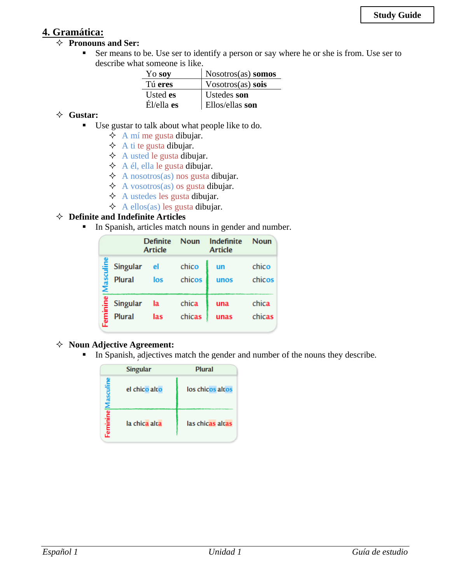# **4. Gramática:**

#### **Pronouns and Ser:**

■ Ser means to be. Use ser to identify a person or say where he or she is from. Use ser to describe what someone is like.

| Yo soy          | Nosotros(as) somos      |
|-----------------|-------------------------|
| Tú eres         | $V$ osotros $(as)$ sois |
| Usted <b>es</b> | Ustedes son             |
| $E1/e11a$ es    | Ellos/ellas son         |

#### **Gustar:**

- Use gustar to talk about what people like to do.
	- $\overrightarrow{\mathrm{A}}$  mí me gusta dibujar.
	- $\triangle$  A ti te gusta dibujar.
	- $\triangle$  A usted le gusta dibujar.
	- $\triangle$  A él, ella le gusta dibujar.
	- $\triangle$  A nosotros(as) nos gusta dibujar.
	- $\triangle$  A vosotros(as) os gusta dibujar.
	- $\triangle$  A ustedes les gusta dibujar.
	- $\triangle$  A ellos(as) les gusta dibujar.

#### **Definite and Indefinite Articles**

**•** In Spanish, articles match nouns in gender and number.

|           |               | <b>Definite</b><br><b>Article</b> | <b>Noun</b> | Indefinite<br><b>Article</b> | <b>Noun</b> |
|-----------|---------------|-----------------------------------|-------------|------------------------------|-------------|
| Masculine | Singular      | el                                | chico       | un                           | chico       |
|           | <b>Plural</b> | los                               | chicos      | unos                         | chicos      |
| Feminine  | Singular      | la                                | chica       | una                          | chica       |
|           | <b>Plural</b> | las                               | chicas      | unas                         | chicas      |

#### **Noun Adjective Agreement:**

**In Spanish, adjectives match the gender and number of the nouns they describe.** 

|                   | <b>Singular</b> | Plural           |
|-------------------|-----------------|------------------|
| Feminine Masculin | el chico alto   | los chicos altos |
|                   | la chica alta   | las chicas altas |